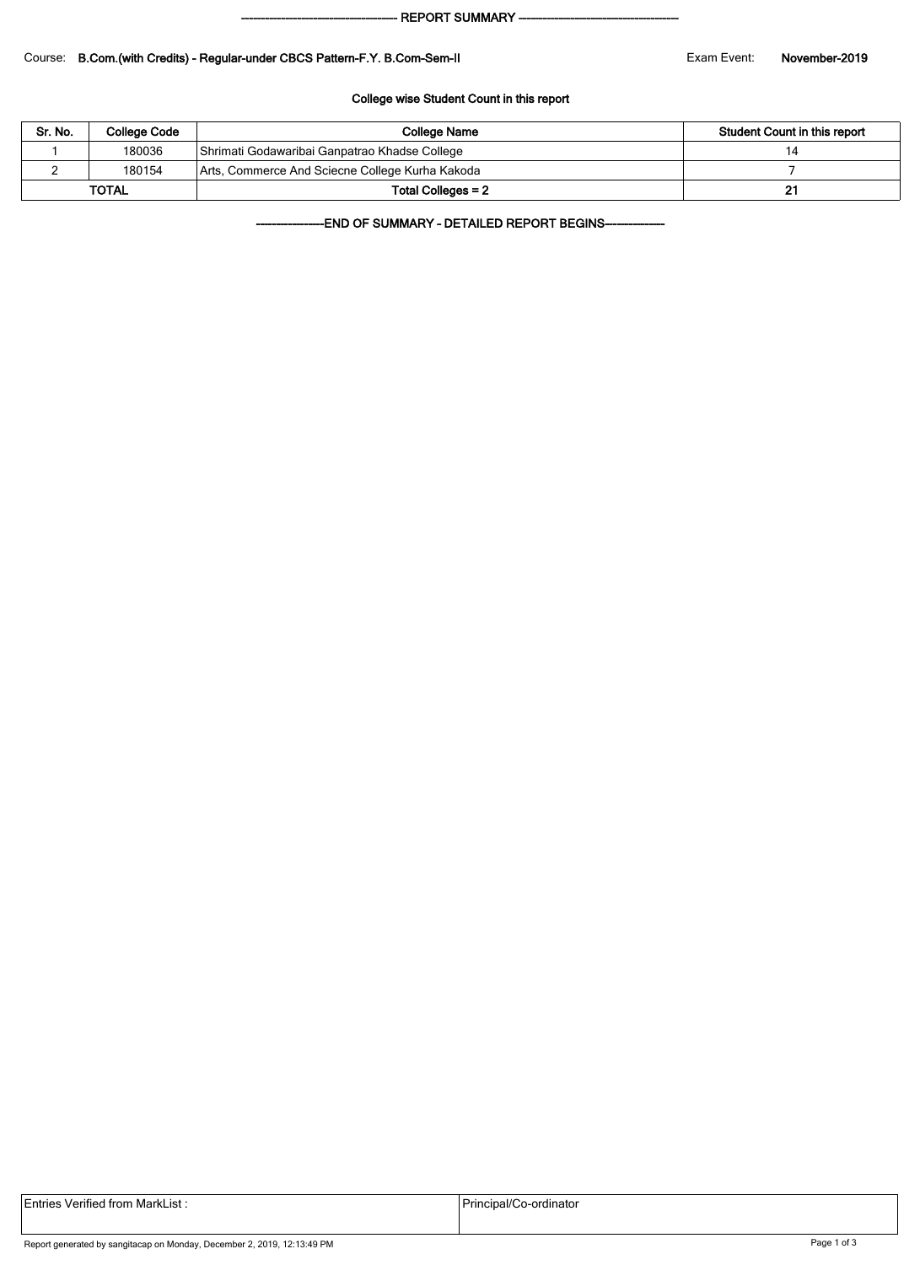#### - REPORT SUMMARY --

#### Course: B.Com.(with Credits) - Regular-under CBCS Pattern-F.Y. B.Com-Sem-II Exam Exam Event: November-2019

### College wise Student Count in this report

| Sr. No.      | College Code | College Name                                    | Student Count in this report |  |  |
|--------------|--------------|-------------------------------------------------|------------------------------|--|--|
|              | 180036       | Shrimati Godawaribai Ganpatrao Khadse College   | 14                           |  |  |
|              | 180154       | Arts, Commerce And Sciecne College Kurha Kakoda |                              |  |  |
| <b>TOTAL</b> |              | Total Colleges = 2                              |                              |  |  |

-END OF SUMMARY - DETAILED REPORT BEGINS-

| <b>Entries Verified from MarkList:</b> | Principal/Co-ordinator |
|----------------------------------------|------------------------|
|                                        |                        |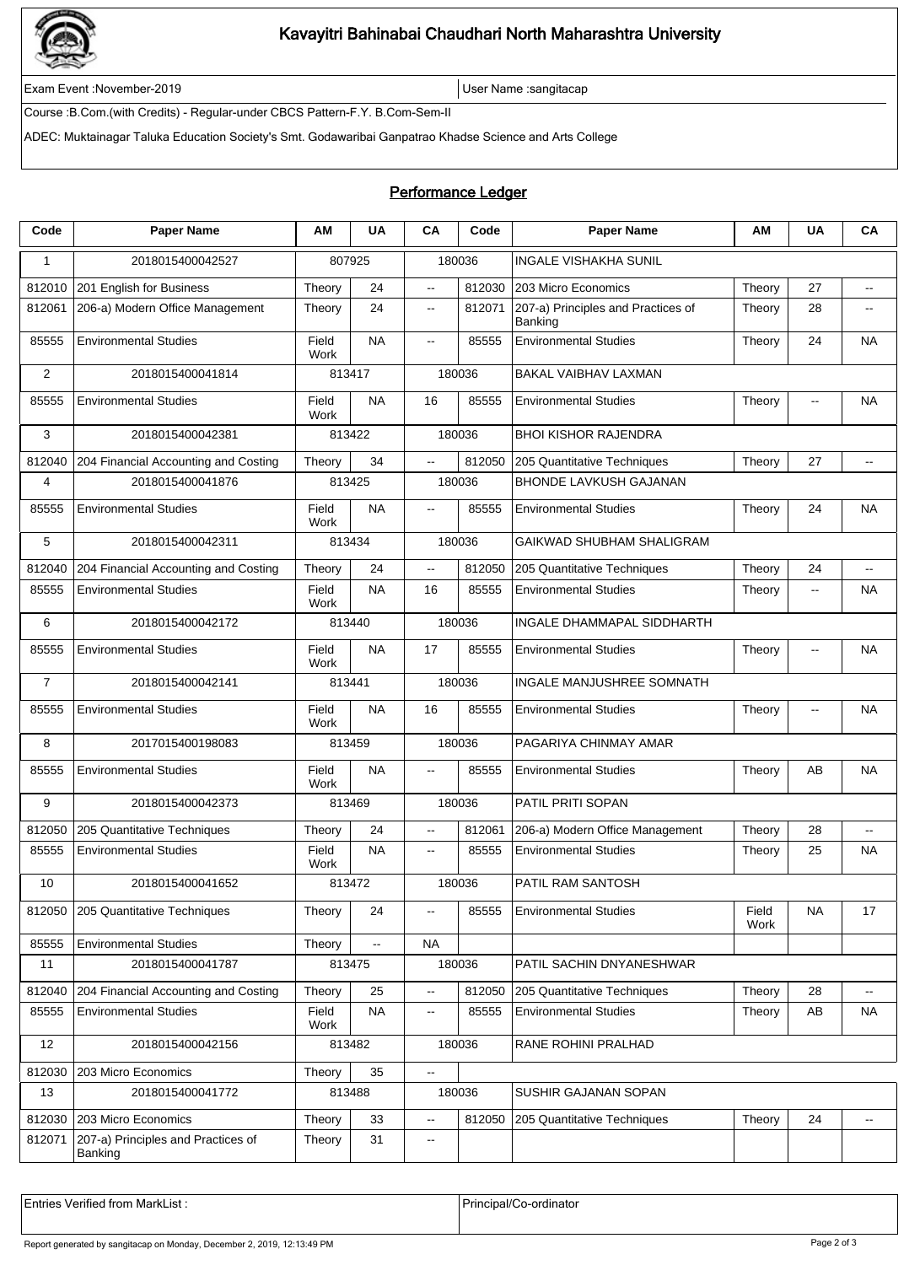

# Kavayitri Bahinabai Chaudhari North Maharashtra University

Exam Event :November-2019 User Name :sangitacap

Course :B.Com.(with Credits) - Regular-under CBCS Pattern-F.Y. B.Com-Sem-II

ADEC: Muktainagar Taluka Education Society's Smt. Godawaribai Ganpatrao Khadse Science and Arts College

## Performance Ledger

| Code           | <b>Paper Name</b>                             | АM                   | <b>UA</b>      | CA                       | Code   | <b>Paper Name</b>                             | AM            | <b>UA</b>                | CA                       |  |
|----------------|-----------------------------------------------|----------------------|----------------|--------------------------|--------|-----------------------------------------------|---------------|--------------------------|--------------------------|--|
| $\mathbf{1}$   | 2018015400042527                              | 807925               |                | 180036                   |        | <b>INGALE VISHAKHA SUNIL</b>                  |               |                          |                          |  |
| 812010         | 201 English for Business                      | Theory               | 24             | Ξ.                       | 812030 | 203 Micro Economics                           | Theory        | 27                       | $\overline{\phantom{a}}$ |  |
| 812061         | 206-a) Modern Office Management               | Theory               | 24             | $\overline{\phantom{a}}$ | 812071 | 207-a) Principles and Practices of<br>Banking | Theory        | 28                       | $\overline{a}$           |  |
| 85555          | <b>Environmental Studies</b>                  | Field<br>Work        | <b>NA</b>      | $\overline{\phantom{a}}$ | 85555  | <b>Environmental Studies</b>                  | Theory        | 24                       | <b>NA</b>                |  |
| $\overline{2}$ | 2018015400041814                              | 813417               |                | 180036                   |        | <b>BAKAL VAIBHAV LAXMAN</b>                   |               |                          |                          |  |
| 85555          | <b>Environmental Studies</b>                  | Field<br><b>Work</b> | <b>NA</b>      | 16                       | 85555  | <b>Environmental Studies</b>                  | Theory        | $\overline{a}$           | <b>NA</b>                |  |
| 3              | 2018015400042381                              | 813422               |                | 180036                   |        | <b>BHOI KISHOR RAJENDRA</b>                   |               |                          |                          |  |
| 812040         | 204 Financial Accounting and Costing          | Theory               | 34             | $\overline{\phantom{a}}$ | 812050 | 205 Quantitative Techniques                   | Theory        | 27                       | $\overline{\phantom{a}}$ |  |
| 4              | 2018015400041876                              | 813425               |                | 180036                   |        | <b>BHONDE LAVKUSH GAJANAN</b>                 |               |                          |                          |  |
| 85555          | <b>Environmental Studies</b>                  | Field<br><b>Work</b> | NA             | $\overline{\phantom{a}}$ | 85555  | <b>Environmental Studies</b>                  | Theory        | 24                       | <b>NA</b>                |  |
| 5              | 2018015400042311                              | 813434               |                | 180036                   |        | GAIKWAD SHUBHAM SHALIGRAM                     |               |                          |                          |  |
| 812040         | 204 Financial Accounting and Costing          | Theory               | 24             | цü.                      | 812050 | 205 Quantitative Techniques                   | Theory        | 24                       | цц.                      |  |
| 85555          | <b>Environmental Studies</b>                  | Field<br>Work        | <b>NA</b>      | 16                       | 85555  | <b>Environmental Studies</b>                  | Theory        | $\overline{a}$           | ΝA                       |  |
| 6              | 2018015400042172                              | 813440               |                | 180036                   |        | INGALE DHAMMAPAL SIDDHARTH                    |               |                          |                          |  |
| 85555          | <b>Environmental Studies</b>                  | Field<br>Work        | <b>NA</b>      | 17                       | 85555  | <b>Environmental Studies</b>                  | Theory        | --                       | <b>NA</b>                |  |
| $\overline{7}$ | 2018015400042141                              | 813441               |                | 180036                   |        | <b>INGALE MANJUSHREE SOMNATH</b>              |               |                          |                          |  |
| 85555          | <b>Environmental Studies</b>                  | Field<br><b>Work</b> | <b>NA</b>      | 16                       | 85555  | <b>Environmental Studies</b>                  | Theory        | $\overline{\phantom{a}}$ | <b>NA</b>                |  |
| 8              | 2017015400198083                              | 813459               |                | 180036                   |        | PAGARIYA CHINMAY AMAR                         |               |                          |                          |  |
| 85555          | <b>Environmental Studies</b>                  | Field<br><b>Work</b> | <b>NA</b>      | $\overline{a}$           | 85555  | <b>Environmental Studies</b>                  | Theory        | AB                       | <b>NA</b>                |  |
| 9              | 2018015400042373                              | 813469               |                | 180036                   |        | PATIL PRITI SOPAN                             |               |                          |                          |  |
| 812050         | 205 Quantitative Techniques                   | Theory               | 24             | Ξ.                       | 812061 | 206-a) Modern Office Management               | Theory        | 28                       | цц.                      |  |
| 85555          | <b>Environmental Studies</b>                  | Field<br>Work        | <b>NA</b>      | $\overline{\phantom{a}}$ | 85555  | <b>Environmental Studies</b>                  | Theory        | 25                       | <b>NA</b>                |  |
| 10             | 2018015400041652                              | 813472               |                | 180036                   |        | PATIL RAM SANTOSH                             |               |                          |                          |  |
| 812050         | 205 Quantitative Techniques                   | Theory               | 24             | $- -$                    | 85555  | <b>Environmental Studies</b>                  | Field<br>Work | NA                       | 17                       |  |
| 85555          | <b>Environmental Studies</b>                  | Theory               | $\mathbb{Z}^2$ | <b>NA</b>                |        |                                               |               |                          |                          |  |
| 11             | 2018015400041787                              | 813475               |                | 180036                   |        | PATIL SACHIN DNYANESHWAR                      |               |                          |                          |  |
| 812040         | 204 Financial Accounting and Costing          | Theory               | 25             | --                       | 812050 | 205 Quantitative Techniques                   | Theory        | 28                       | $\overline{\phantom{a}}$ |  |
| 85555          | <b>Environmental Studies</b>                  | Field<br>Work        | <b>NA</b>      | .,                       | 85555  | <b>Environmental Studies</b>                  | Theory        | AB                       | <b>NA</b>                |  |
| 12             | 2018015400042156                              | 813482               |                | 180036                   |        | RANE ROHINI PRALHAD                           |               |                          |                          |  |
| 812030         | 203 Micro Economics                           | 35<br>Theory         |                | --                       |        |                                               |               |                          |                          |  |
| 13             | 2018015400041772                              | 813488               |                | 180036                   |        | SUSHIR GAJANAN SOPAN                          |               |                          |                          |  |
| 812030         | 203 Micro Economics                           | Theory               | 33             | --                       | 812050 | 205 Quantitative Techniques                   | Theory        | 24                       | --                       |  |
| 812071         | 207-a) Principles and Practices of<br>Banking | Theory               | 31             | $- -$                    |        |                                               |               |                          |                          |  |
|                |                                               |                      |                |                          |        |                                               |               |                          |                          |  |

Entries Verified from MarkList : <br>
Principal/Co-ordinator